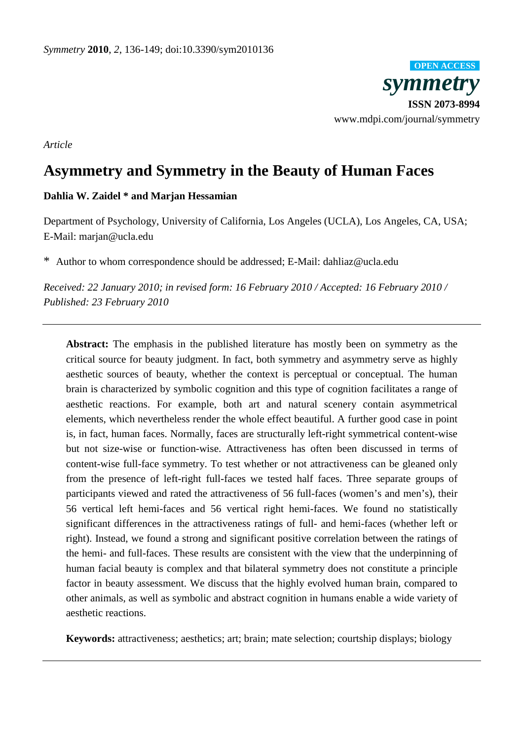*symmetry* **ISSN 2073-8994**  www.mdpi.com/journal/symmetry **OPEN ACCESS**

*Article* 

# **Asymmetry and Symmetry in the Beauty of Human Faces**

# **Dahlia W. Zaidel \* and Marjan Hessamian**

Department of Psychology, University of California, Los Angeles (UCLA), Los Angeles, CA, USA; E-Mail: marjan@ucla.edu

\* Author to whom correspondence should be addressed; E-Mail: dahliaz@ucla.edu

*Received: 22 January 2010; in revised form: 16 February 2010 / Accepted: 16 February 2010 / Published: 23 February 2010* 

**Abstract:** The emphasis in the published literature has mostly been on symmetry as the critical source for beauty judgment. In fact, both symmetry and asymmetry serve as highly aesthetic sources of beauty, whether the context is perceptual or conceptual. The human brain is characterized by symbolic cognition and this type of cognition facilitates a range of aesthetic reactions. For example, both art and natural scenery contain asymmetrical elements, which nevertheless render the whole effect beautiful. A further good case in point is, in fact, human faces. Normally, faces are structurally left-right symmetrical content-wise but not size-wise or function-wise. Attractiveness has often been discussed in terms of content-wise full-face symmetry. To test whether or not attractiveness can be gleaned only from the presence of left-right full-faces we tested half faces. Three separate groups of participants viewed and rated the attractiveness of 56 full-faces (women's and men's), their 56 vertical left hemi-faces and 56 vertical right hemi-faces. We found no statistically significant differences in the attractiveness ratings of full- and hemi-faces (whether left or right). Instead, we found a strong and significant positive correlation between the ratings of the hemi- and full-faces. These results are consistent with the view that the underpinning of human facial beauty is complex and that bilateral symmetry does not constitute a principle factor in beauty assessment. We discuss that the highly evolved human brain, compared to other animals, as well as symbolic and abstract cognition in humans enable a wide variety of aesthetic reactions.

**Keywords:** attractiveness; aesthetics; art; brain; mate selection; courtship displays; biology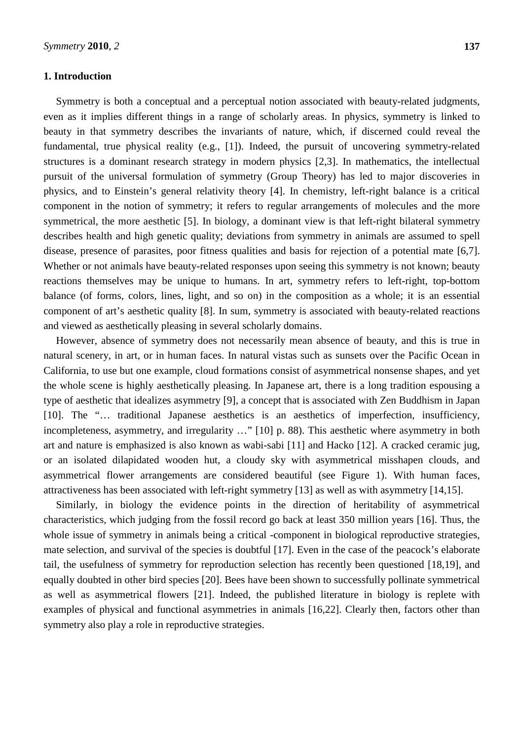# **1. Introduction**

Symmetry is both a conceptual and a perceptual notion associated with beauty-related judgments, even as it implies different things in a range of scholarly areas. In physics, symmetry is linked to beauty in that symmetry describes the invariants of nature, which, if discerned could reveal the fundamental, true physical reality (e.g., [1]). Indeed, the pursuit of uncovering symmetry-related structures is a dominant research strategy in modern physics [2,3]. In mathematics, the intellectual pursuit of the universal formulation of symmetry (Group Theory) has led to major discoveries in physics, and to Einstein's general relativity theory [4]. In chemistry, left-right balance is a critical component in the notion of symmetry; it refers to regular arrangements of molecules and the more symmetrical, the more aesthetic [5]. In biology, a dominant view is that left-right bilateral symmetry describes health and high genetic quality; deviations from symmetry in animals are assumed to spell disease, presence of parasites, poor fitness qualities and basis for rejection of a potential mate [6,7]. Whether or not animals have beauty-related responses upon seeing this symmetry is not known; beauty reactions themselves may be unique to humans. In art, symmetry refers to left-right, top-bottom balance (of forms, colors, lines, light, and so on) in the composition as a whole; it is an essential component of art's aesthetic quality [8]. In sum, symmetry is associated with beauty-related reactions and viewed as aesthetically pleasing in several scholarly domains.

However, absence of symmetry does not necessarily mean absence of beauty, and this is true in natural scenery, in art, or in human faces. In natural vistas such as sunsets over the Pacific Ocean in California, to use but one example, cloud formations consist of asymmetrical nonsense shapes, and yet the whole scene is highly aesthetically pleasing. In Japanese art, there is a long tradition espousing a type of aesthetic that idealizes asymmetry [9], a concept that is associated with Zen Buddhism in Japan [10]. The "… traditional Japanese aesthetics is an aesthetics of imperfection, insufficiency, incompleteness, asymmetry, and irregularity …" [10] p. 88). This aesthetic where asymmetry in both art and nature is emphasized is also known as wabi-sabi [11] and Hacko [12]. A cracked ceramic jug, or an isolated dilapidated wooden hut, a cloudy sky with asymmetrical misshapen clouds, and asymmetrical flower arrangements are considered beautiful (see Figure 1). With human faces, attractiveness has been associated with left-right symmetry [13] as well as with asymmetry [14,15].

Similarly, in biology the evidence points in the direction of heritability of asymmetrical characteristics, which judging from the fossil record go back at least 350 million years [16]. Thus, the whole issue of symmetry in animals being a critical -component in biological reproductive strategies, mate selection, and survival of the species is doubtful [17]. Even in the case of the peacock's elaborate tail, the usefulness of symmetry for reproduction selection has recently been questioned [18,19], and equally doubted in other bird species [20]. Bees have been shown to successfully pollinate symmetrical as well as asymmetrical flowers [21]. Indeed, the published literature in biology is replete with examples of physical and functional asymmetries in animals [16,22]. Clearly then, factors other than symmetry also play a role in reproductive strategies.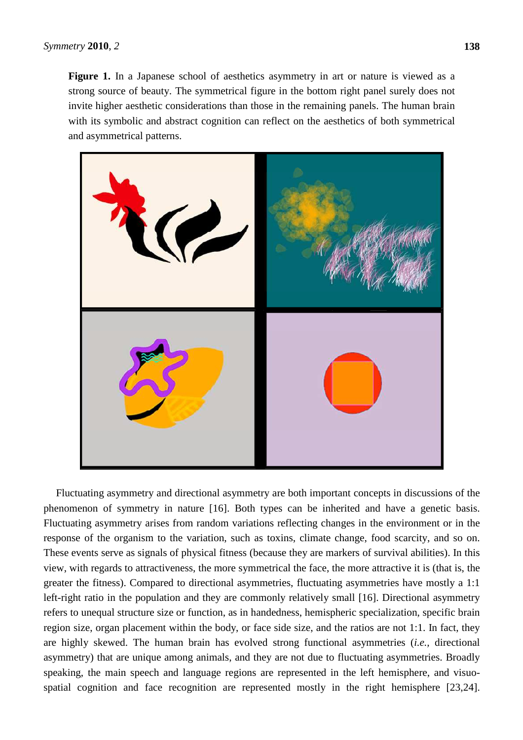Figure 1. In a Japanese school of aesthetics asymmetry in art or nature is viewed as a strong source of beauty. The symmetrical figure in the bottom right panel surely does not invite higher aesthetic considerations than those in the remaining panels. The human brain with its symbolic and abstract cognition can reflect on the aesthetics of both symmetrical and asymmetrical patterns.



Fluctuating asymmetry and directional asymmetry are both important concepts in discussions of the phenomenon of symmetry in nature [16]. Both types can be inherited and have a genetic basis. Fluctuating asymmetry arises from random variations reflecting changes in the environment or in the response of the organism to the variation, such as toxins, climate change, food scarcity, and so on. These events serve as signals of physical fitness (because they are markers of survival abilities). In this view, with regards to attractiveness, the more symmetrical the face, the more attractive it is (that is, the greater the fitness). Compared to directional asymmetries, fluctuating asymmetries have mostly a 1:1 left-right ratio in the population and they are commonly relatively small [16]. Directional asymmetry refers to unequal structure size or function, as in handedness, hemispheric specialization, specific brain region size, organ placement within the body, or face side size, and the ratios are not 1:1. In fact, they are highly skewed. The human brain has evolved strong functional asymmetries (*i.e.,* directional asymmetry) that are unique among animals, and they are not due to fluctuating asymmetries. Broadly speaking, the main speech and language regions are represented in the left hemisphere, and visuospatial cognition and face recognition are represented mostly in the right hemisphere [23,24].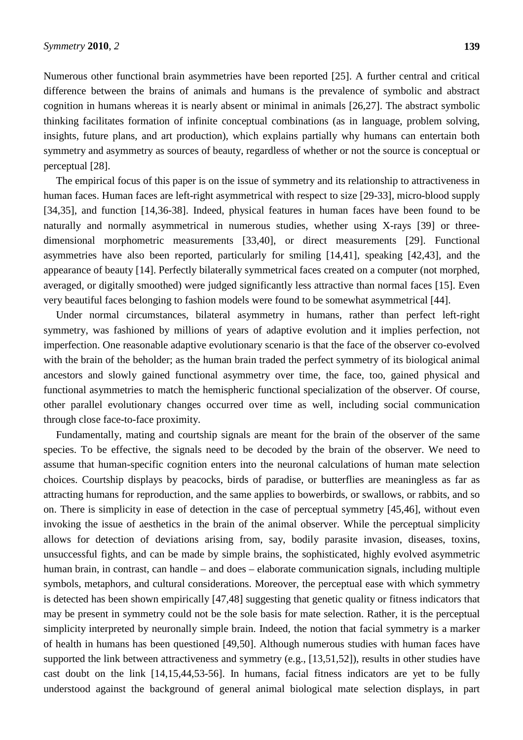Numerous other functional brain asymmetries have been reported [25]. A further central and critical difference between the brains of animals and humans is the prevalence of symbolic and abstract cognition in humans whereas it is nearly absent or minimal in animals [26,27]. The abstract symbolic thinking facilitates formation of infinite conceptual combinations (as in language, problem solving, insights, future plans, and art production), which explains partially why humans can entertain both symmetry and asymmetry as sources of beauty, regardless of whether or not the source is conceptual or perceptual [28].

The empirical focus of this paper is on the issue of symmetry and its relationship to attractiveness in human faces. Human faces are left-right asymmetrical with respect to size [29-33], micro-blood supply [34,35], and function [14,36-38]. Indeed, physical features in human faces have been found to be naturally and normally asymmetrical in numerous studies, whether using X-rays [39] or threedimensional morphometric measurements [33,40], or direct measurements [29]. Functional asymmetries have also been reported, particularly for smiling [14,41], speaking [42,43], and the appearance of beauty [14]. Perfectly bilaterally symmetrical faces created on a computer (not morphed, averaged, or digitally smoothed) were judged significantly less attractive than normal faces [15]. Even very beautiful faces belonging to fashion models were found to be somewhat asymmetrical [44].

Under normal circumstances, bilateral asymmetry in humans, rather than perfect left-right symmetry, was fashioned by millions of years of adaptive evolution and it implies perfection, not imperfection. One reasonable adaptive evolutionary scenario is that the face of the observer co-evolved with the brain of the beholder; as the human brain traded the perfect symmetry of its biological animal ancestors and slowly gained functional asymmetry over time, the face, too, gained physical and functional asymmetries to match the hemispheric functional specialization of the observer. Of course, other parallel evolutionary changes occurred over time as well, including social communication through close face-to-face proximity.

Fundamentally, mating and courtship signals are meant for the brain of the observer of the same species. To be effective, the signals need to be decoded by the brain of the observer. We need to assume that human-specific cognition enters into the neuronal calculations of human mate selection choices. Courtship displays by peacocks, birds of paradise, or butterflies are meaningless as far as attracting humans for reproduction, and the same applies to bowerbirds, or swallows, or rabbits, and so on. There is simplicity in ease of detection in the case of perceptual symmetry [45,46], without even invoking the issue of aesthetics in the brain of the animal observer. While the perceptual simplicity allows for detection of deviations arising from, say, bodily parasite invasion, diseases, toxins, unsuccessful fights, and can be made by simple brains, the sophisticated, highly evolved asymmetric human brain, in contrast, can handle – and does – elaborate communication signals, including multiple symbols, metaphors, and cultural considerations. Moreover, the perceptual ease with which symmetry is detected has been shown empirically [47,48] suggesting that genetic quality or fitness indicators that may be present in symmetry could not be the sole basis for mate selection. Rather, it is the perceptual simplicity interpreted by neuronally simple brain. Indeed, the notion that facial symmetry is a marker of health in humans has been questioned [49,50]. Although numerous studies with human faces have supported the link between attractiveness and symmetry (e.g., [13,51,52]), results in other studies have cast doubt on the link [14,15,44,53-56]. In humans, facial fitness indicators are yet to be fully understood against the background of general animal biological mate selection displays, in part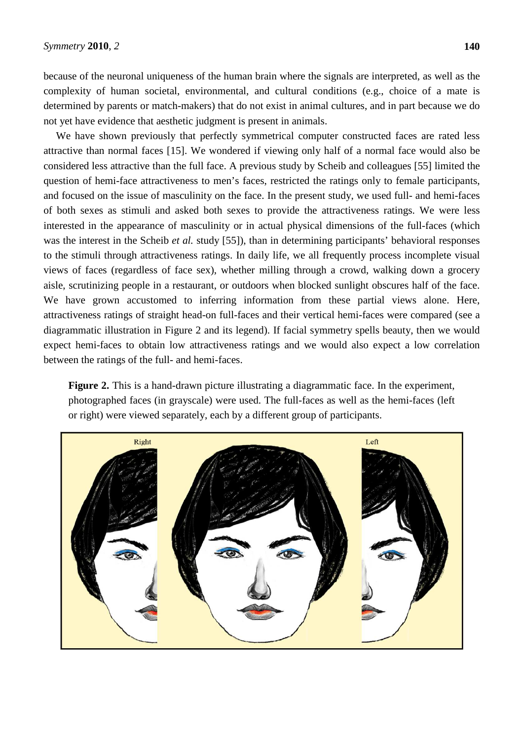because of the neuronal uniqueness of the human brain where the signals are interpreted, as well as the complexity of human societal, environmental, and cultural conditions (e.g., choice of a mate is determined by parents or match-makers) that do not exist in animal cultures, and in part because we do not yet have evidence that aesthetic judgment is present in animals.

We have shown previously that perfectly symmetrical computer constructed faces are rated less attractive than normal faces [15]. We wondered if viewing only half of a normal face would also be considered less attractive than the full face. A previous study by Scheib and colleagues [55] limited the question of hemi-face attractiveness to men's faces, restricted the ratings only to female participants, and focused on the issue of masculinity on the face. In the present study, we used full- and hemi-faces of both sexes as stimuli and asked both sexes to provide the attractiveness ratings. We were less interested in the appearance of masculinity or in actual physical dimensions of the full-faces (which was the interest in the Scheib *et al.* study [55]), than in determining participants' behavioral responses to the stimuli through attractiveness ratings. In daily life, we all frequently process incomplete visual views of faces (regardless of face sex), whether milling through a crowd, walking down a grocery aisle, scrutinizing people in a restaurant, or outdoors when blocked sunlight obscures half of the face. We have grown accustomed to inferring information from these partial views alone. Here, attractiveness ratings of straight head-on full-faces and their vertical hemi-faces were compared (see a diagrammatic illustration in Figure 2 and its legend). If facial symmetry spells beauty, then we would expect hemi-faces to obtain low attractiveness ratings and we would also expect a low correlation between the ratings of the full- and hemi-faces.

Figure 2. This is a hand-drawn picture illustrating a diagrammatic face. In the experiment, photographed faces (in grayscale) were used. The full-faces as well as the hemi-faces (left or right) were viewed separately, each by a different group of participants.

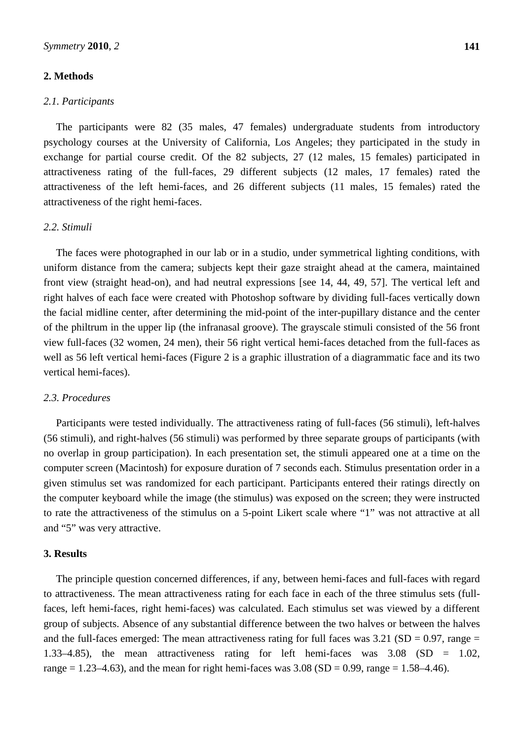# **2. Methods**

### *2.1. Participants*

The participants were 82 (35 males, 47 females) undergraduate students from introductory psychology courses at the University of California, Los Angeles; they participated in the study in exchange for partial course credit. Of the 82 subjects, 27 (12 males, 15 females) participated in attractiveness rating of the full-faces, 29 different subjects (12 males, 17 females) rated the attractiveness of the left hemi-faces, and 26 different subjects (11 males, 15 females) rated the attractiveness of the right hemi-faces.

# *2.2. Stimuli*

The faces were photographed in our lab or in a studio, under symmetrical lighting conditions, with uniform distance from the camera; subjects kept their gaze straight ahead at the camera, maintained front view (straight head-on), and had neutral expressions [see 14, 44, 49, 57]. The vertical left and right halves of each face were created with Photoshop software by dividing full-faces vertically down the facial midline center, after determining the mid-point of the inter-pupillary distance and the center of the philtrum in the upper lip (the infranasal groove). The grayscale stimuli consisted of the 56 front view full-faces (32 women, 24 men), their 56 right vertical hemi-faces detached from the full-faces as well as 56 left vertical hemi-faces (Figure 2 is a graphic illustration of a diagrammatic face and its two vertical hemi-faces).

# *2.3. Procedures*

Participants were tested individually. The attractiveness rating of full-faces (56 stimuli), left-halves (56 stimuli), and right-halves (56 stimuli) was performed by three separate groups of participants (with no overlap in group participation). In each presentation set, the stimuli appeared one at a time on the computer screen (Macintosh) for exposure duration of 7 seconds each. Stimulus presentation order in a given stimulus set was randomized for each participant. Participants entered their ratings directly on the computer keyboard while the image (the stimulus) was exposed on the screen; they were instructed to rate the attractiveness of the stimulus on a 5-point Likert scale where "1" was not attractive at all and "5" was very attractive.

# **3. Results**

The principle question concerned differences, if any, between hemi-faces and full-faces with regard to attractiveness. The mean attractiveness rating for each face in each of the three stimulus sets (fullfaces, left hemi-faces, right hemi-faces) was calculated. Each stimulus set was viewed by a different group of subjects. Absence of any substantial difference between the two halves or between the halves and the full-faces emerged: The mean attractiveness rating for full faces was  $3.21$  (SD = 0.97, range = 1.33–4.85), the mean attractiveness rating for left hemi-faces was 3.08 (SD = 1.02, range = 1.23–4.63), and the mean for right hemi-faces was  $3.08$  (SD = 0.99, range = 1.58–4.46).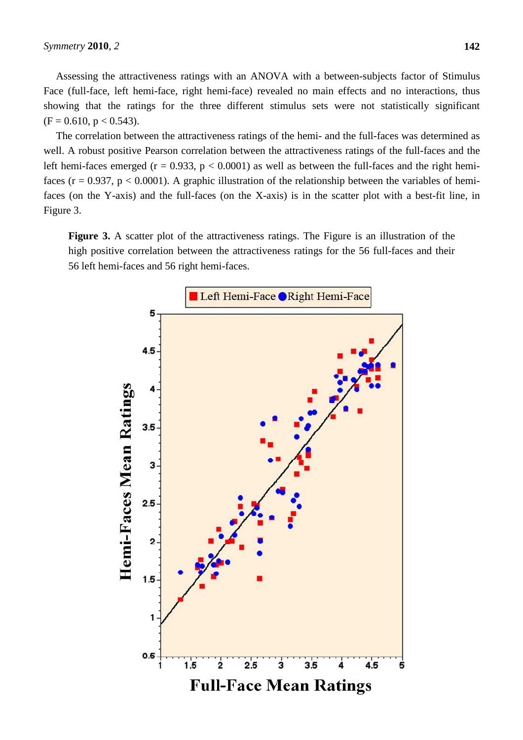Assessing the attractiveness ratings with an ANOVA with a between-subjects factor of Stimulus Face (full-face, left hemi-face, right hemi-face) revealed no main effects and no interactions, thus showing that the ratings for the three different stimulus sets were not statistically significant  $(F = 0.610, p < 0.543).$ 

The correlation between the attractiveness ratings of the hemi- and the full-faces was determined as well. A robust positive Pearson correlation between the attractiveness ratings of the full-faces and the left hemi-faces emerged ( $r = 0.933$ ,  $p < 0.0001$ ) as well as between the full-faces and the right hemifaces ( $r = 0.937$ ,  $p < 0.0001$ ). A graphic illustration of the relationship between the variables of hemifaces (on the Y-axis) and the full-faces (on the X-axis) is in the scatter plot with a best-fit line, in Figure 3.

**Figure 3.** A scatter plot of the attractiveness ratings. The Figure is an illustration of the high positive correlation between the attractiveness ratings for the 56 full-faces and their 56 left hemi-faces and 56 right hemi-faces.

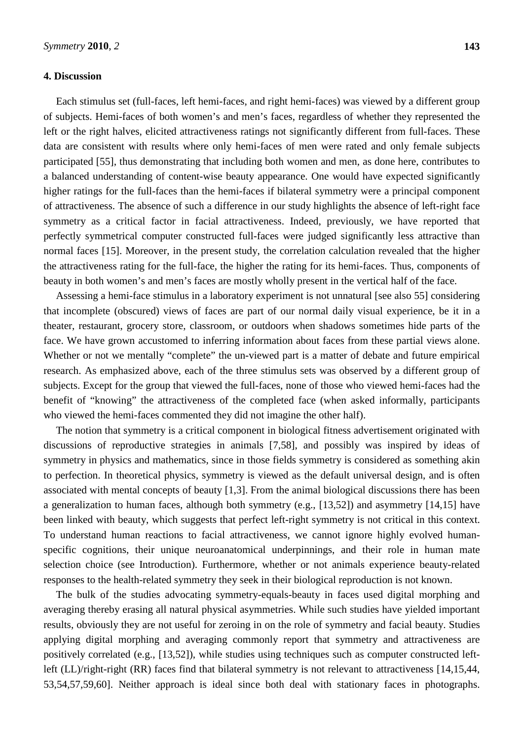# **4. Discussion**

Each stimulus set (full-faces, left hemi-faces, and right hemi-faces) was viewed by a different group of subjects. Hemi-faces of both women's and men's faces, regardless of whether they represented the left or the right halves, elicited attractiveness ratings not significantly different from full-faces. These data are consistent with results where only hemi-faces of men were rated and only female subjects participated [55], thus demonstrating that including both women and men, as done here, contributes to a balanced understanding of content-wise beauty appearance. One would have expected significantly higher ratings for the full-faces than the hemi-faces if bilateral symmetry were a principal component of attractiveness. The absence of such a difference in our study highlights the absence of left-right face symmetry as a critical factor in facial attractiveness. Indeed, previously, we have reported that perfectly symmetrical computer constructed full-faces were judged significantly less attractive than normal faces [15]. Moreover, in the present study, the correlation calculation revealed that the higher the attractiveness rating for the full-face, the higher the rating for its hemi-faces. Thus, components of beauty in both women's and men's faces are mostly wholly present in the vertical half of the face.

Assessing a hemi-face stimulus in a laboratory experiment is not unnatural [see also 55] considering that incomplete (obscured) views of faces are part of our normal daily visual experience, be it in a theater, restaurant, grocery store, classroom, or outdoors when shadows sometimes hide parts of the face. We have grown accustomed to inferring information about faces from these partial views alone. Whether or not we mentally "complete" the un-viewed part is a matter of debate and future empirical research. As emphasized above, each of the three stimulus sets was observed by a different group of subjects. Except for the group that viewed the full-faces, none of those who viewed hemi-faces had the benefit of "knowing" the attractiveness of the completed face (when asked informally, participants who viewed the hemi-faces commented they did not imagine the other half).

The notion that symmetry is a critical component in biological fitness advertisement originated with discussions of reproductive strategies in animals [7,58], and possibly was inspired by ideas of symmetry in physics and mathematics, since in those fields symmetry is considered as something akin to perfection. In theoretical physics, symmetry is viewed as the default universal design, and is often associated with mental concepts of beauty [1,3]. From the animal biological discussions there has been a generalization to human faces, although both symmetry (e.g., [13,52]) and asymmetry [14,15] have been linked with beauty, which suggests that perfect left-right symmetry is not critical in this context. To understand human reactions to facial attractiveness, we cannot ignore highly evolved humanspecific cognitions, their unique neuroanatomical underpinnings, and their role in human mate selection choice (see Introduction). Furthermore, whether or not animals experience beauty-related responses to the health-related symmetry they seek in their biological reproduction is not known.

The bulk of the studies advocating symmetry-equals-beauty in faces used digital morphing and averaging thereby erasing all natural physical asymmetries. While such studies have yielded important results, obviously they are not useful for zeroing in on the role of symmetry and facial beauty. Studies applying digital morphing and averaging commonly report that symmetry and attractiveness are positively correlated (e.g., [13,52]), while studies using techniques such as computer constructed leftleft (LL)/right-right (RR) faces find that bilateral symmetry is not relevant to attractiveness [14,15,44, 53,54,57,59,60]. Neither approach is ideal since both deal with stationary faces in photographs.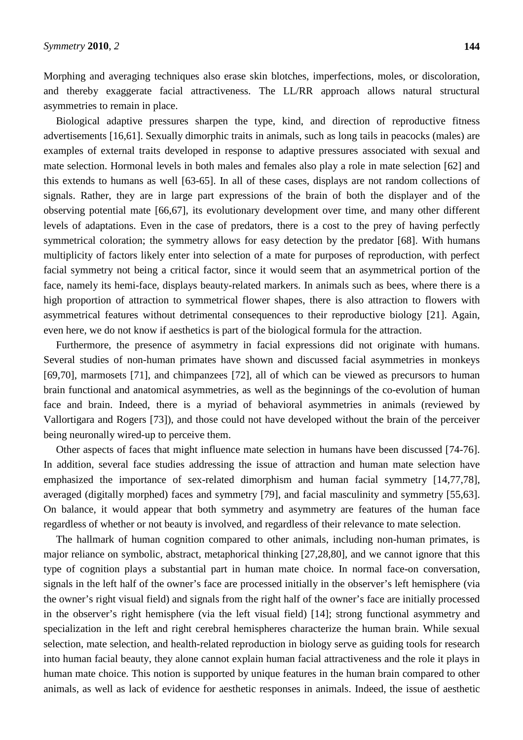Morphing and averaging techniques also erase skin blotches, imperfections, moles, or discoloration, and thereby exaggerate facial attractiveness. The LL/RR approach allows natural structural asymmetries to remain in place.

Biological adaptive pressures sharpen the type, kind, and direction of reproductive fitness advertisements [16,61]. Sexually dimorphic traits in animals, such as long tails in peacocks (males) are examples of external traits developed in response to adaptive pressures associated with sexual and mate selection. Hormonal levels in both males and females also play a role in mate selection [62] and this extends to humans as well [63-65]. In all of these cases, displays are not random collections of signals. Rather, they are in large part expressions of the brain of both the displayer and of the observing potential mate [66,67], its evolutionary development over time, and many other different levels of adaptations. Even in the case of predators, there is a cost to the prey of having perfectly symmetrical coloration; the symmetry allows for easy detection by the predator [68]. With humans multiplicity of factors likely enter into selection of a mate for purposes of reproduction, with perfect facial symmetry not being a critical factor, since it would seem that an asymmetrical portion of the face, namely its hemi-face, displays beauty-related markers. In animals such as bees, where there is a high proportion of attraction to symmetrical flower shapes, there is also attraction to flowers with asymmetrical features without detrimental consequences to their reproductive biology [21]. Again, even here, we do not know if aesthetics is part of the biological formula for the attraction.

Furthermore, the presence of asymmetry in facial expressions did not originate with humans. Several studies of non-human primates have shown and discussed facial asymmetries in monkeys [69,70], marmosets [71], and chimpanzees [72], all of which can be viewed as precursors to human brain functional and anatomical asymmetries, as well as the beginnings of the co-evolution of human face and brain. Indeed, there is a myriad of behavioral asymmetries in animals (reviewed by Vallortigara and Rogers [73]), and those could not have developed without the brain of the perceiver being neuronally wired-up to perceive them.

Other aspects of faces that might influence mate selection in humans have been discussed [74-76]. In addition, several face studies addressing the issue of attraction and human mate selection have emphasized the importance of sex-related dimorphism and human facial symmetry [14,77,78], averaged (digitally morphed) faces and symmetry [79], and facial masculinity and symmetry [55,63]. On balance, it would appear that both symmetry and asymmetry are features of the human face regardless of whether or not beauty is involved, and regardless of their relevance to mate selection.

The hallmark of human cognition compared to other animals, including non-human primates, is major reliance on symbolic, abstract, metaphorical thinking [27,28,80], and we cannot ignore that this type of cognition plays a substantial part in human mate choice. In normal face-on conversation, signals in the left half of the owner's face are processed initially in the observer's left hemisphere (via the owner's right visual field) and signals from the right half of the owner's face are initially processed in the observer's right hemisphere (via the left visual field) [14]; strong functional asymmetry and specialization in the left and right cerebral hemispheres characterize the human brain. While sexual selection, mate selection, and health-related reproduction in biology serve as guiding tools for research into human facial beauty, they alone cannot explain human facial attractiveness and the role it plays in human mate choice. This notion is supported by unique features in the human brain compared to other animals, as well as lack of evidence for aesthetic responses in animals. Indeed, the issue of aesthetic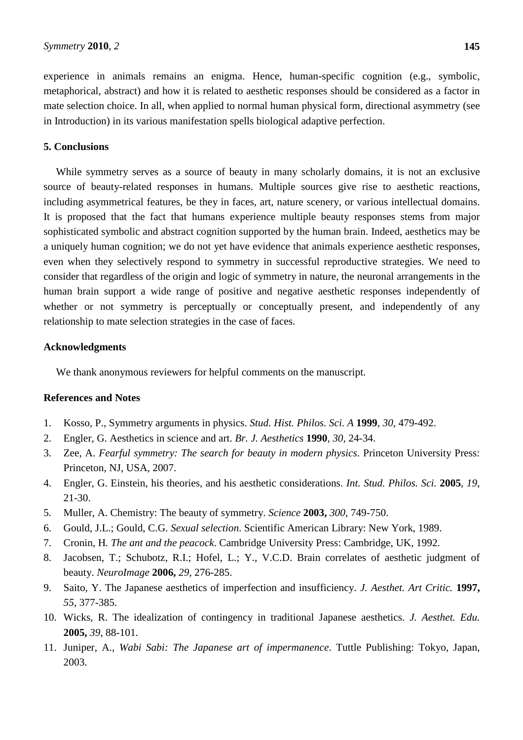experience in animals remains an enigma. Hence, human-specific cognition (e.g., symbolic, metaphorical, abstract) and how it is related to aesthetic responses should be considered as a factor in mate selection choice. In all, when applied to normal human physical form, directional asymmetry (see in Introduction) in its various manifestation spells biological adaptive perfection.

### **5. Conclusions**

While symmetry serves as a source of beauty in many scholarly domains, it is not an exclusive source of beauty-related responses in humans. Multiple sources give rise to aesthetic reactions, including asymmetrical features, be they in faces, art, nature scenery, or various intellectual domains. It is proposed that the fact that humans experience multiple beauty responses stems from major sophisticated symbolic and abstract cognition supported by the human brain. Indeed, aesthetics may be a uniquely human cognition; we do not yet have evidence that animals experience aesthetic responses, even when they selectively respond to symmetry in successful reproductive strategies. We need to consider that regardless of the origin and logic of symmetry in nature, the neuronal arrangements in the human brain support a wide range of positive and negative aesthetic responses independently of whether or not symmetry is perceptually or conceptually present, and independently of any relationship to mate selection strategies in the case of faces.

#### **Acknowledgments**

We thank anonymous reviewers for helpful comments on the manuscript.

## **References and Notes**

- 1. Kosso, P., Symmetry arguments in physics. *Stud. Hist. Philos. Sci. A* **1999**, *30*, 479-492.
- 2. Engler, G. Aesthetics in science and art. *Br. J. Aesthetics* **1990**, *30*, 24-34.
- 3. Zee, A. *Fearful symmetry: The search for beauty in modern physics*. Princeton University Press: Princeton, NJ, USA, 2007.
- 4. Engler, G. Einstein, his theories, and his aesthetic considerations. *Int. Stud. Philos. Sci.* **2005**, *19*, 21-30.
- 5. Muller, A. Chemistry: The beauty of symmetry. *Science* **2003,** *300*, 749-750.
- 6. Gould, J.L.; Gould, C.G. *Sexual selection*. Scientific American Library: New York, 1989.
- 7. Cronin, H*. The ant and the peacock*. Cambridge University Press: Cambridge, UK, 1992.
- 8. Jacobsen, T.; Schubotz, R.I.; Hofel, L.; Y., V.C.D. Brain correlates of aesthetic judgment of beauty. *NeuroImage* **2006,** *29*, 276-285.
- 9. Saito, Y. The Japanese aesthetics of imperfection and insufficiency. *J. Aesthet. Art Critic.* **1997,** *55*, 377-385.
- 10. Wicks, R. The idealization of contingency in traditional Japanese aesthetics. *J. Aesthet. Edu.*  **2005,** *39*, 88-101.
- 11. Juniper, A., *Wabi Sabi: The Japanese art of impermanence*. Tuttle Publishing: Tokyo, Japan, 2003.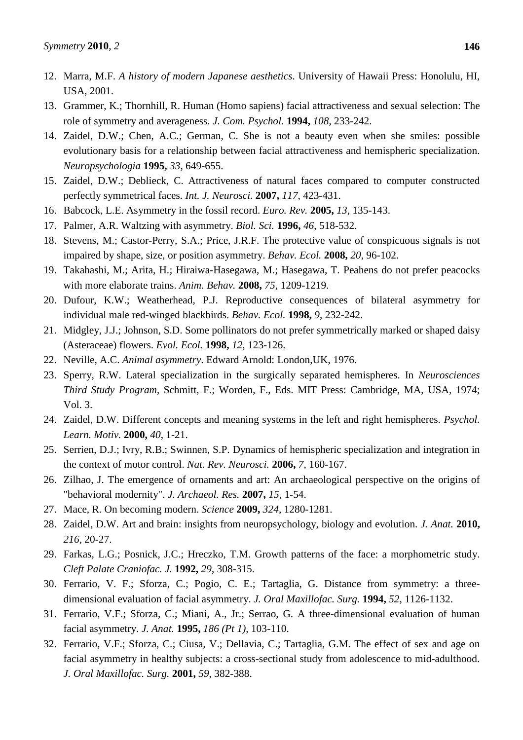- 12. Marra, M.F. *A history of modern Japanese aesthetics*. University of Hawaii Press: Honolulu, HI, USA, 2001.
- 13. Grammer, K.; Thornhill, R. Human (Homo sapiens) facial attractiveness and sexual selection: The role of symmetry and averageness. *J. Com. Psychol.* **1994,** *108*, 233-242.
- 14. Zaidel, D.W.; Chen, A.C.; German, C. She is not a beauty even when she smiles: possible evolutionary basis for a relationship between facial attractiveness and hemispheric specialization. *Neuropsychologia* **1995,** *33*, 649-655.
- 15. Zaidel, D.W.; Deblieck, C. Attractiveness of natural faces compared to computer constructed perfectly symmetrical faces. *Int. J. Neurosci.* **2007,** *117*, 423-431.
- 16. Babcock, L.E. Asymmetry in the fossil record. *Euro. Rev.* **2005,** *13*, 135-143.
- 17. Palmer, A.R. Waltzing with asymmetry. *Biol. Sci.* **1996,** *46*, 518-532.
- 18. Stevens, M.; Castor-Perry, S.A.; Price, J.R.F. The protective value of conspicuous signals is not impaired by shape, size, or position asymmetry. *Behav. Ecol.* **2008,** *20*, 96-102.
- 19. Takahashi, M.; Arita, H.; Hiraiwa-Hasegawa, M.; Hasegawa, T. Peahens do not prefer peacocks with more elaborate trains. *Anim. Behav.* **2008,** *75*, 1209-1219.
- 20. Dufour, K.W.; Weatherhead, P.J. Reproductive consequences of bilateral asymmetry for individual male red-winged blackbirds. *Behav. Ecol.* **1998,** *9*, 232-242.
- 21. Midgley, J.J.; Johnson, S.D. Some pollinators do not prefer symmetrically marked or shaped daisy (Asteraceae) flowers. *Evol. Ecol.* **1998,** *12*, 123-126.
- 22. Neville, A.C. *Animal asymmetry*. Edward Arnold: London,UK, 1976.
- 23. Sperry, R.W. Lateral specialization in the surgically separated hemispheres. In *Neurosciences Third Study Program*, Schmitt, F.; Worden, F., Eds. MIT Press: Cambridge, MA, USA, 1974; Vol. 3.
- 24. Zaidel, D.W. Different concepts and meaning systems in the left and right hemispheres. *Psychol. Learn. Motiv.* **2000,** *40*, 1-21.
- 25. Serrien, D.J.; Ivry, R.B.; Swinnen, S.P. Dynamics of hemispheric specialization and integration in the context of motor control. *Nat. Rev. Neurosci.* **2006,** *7*, 160-167.
- 26. Zilhao, J. The emergence of ornaments and art: An archaeological perspective on the origins of "behavioral modernity". *J. Archaeol. Res.* **2007,** *15*, 1-54.
- 27. Mace, R. On becoming modern. *Science* **2009,** *324*, 1280-1281.
- 28. Zaidel, D.W. Art and brain: insights from neuropsychology, biology and evolution. *J. Anat.* **2010,**  *216*, 20-27.
- 29. Farkas, L.G.; Posnick, J.C.; Hreczko, T.M. Growth patterns of the face: a morphometric study. *Cleft Palate Craniofac. J.* **1992,** *29*, 308-315.
- 30. Ferrario, V. F.; Sforza, C.; Pogio, C. E.; Tartaglia, G. Distance from symmetry: a threedimensional evaluation of facial asymmetry. *J. Oral Maxillofac. Surg.* **1994,** *52*, 1126-1132.
- 31. Ferrario, V.F.; Sforza, C.; Miani, A., Jr.; Serrao, G. A three-dimensional evaluation of human facial asymmetry. *J. Anat.* **1995,** *186 (Pt 1)*, 103-110.
- 32. Ferrario, V.F.; Sforza, C.; Ciusa, V.; Dellavia, C.; Tartaglia, G.M. The effect of sex and age on facial asymmetry in healthy subjects: a cross-sectional study from adolescence to mid-adulthood. *J. Oral Maxillofac. Surg.* **2001,** *59*, 382-388.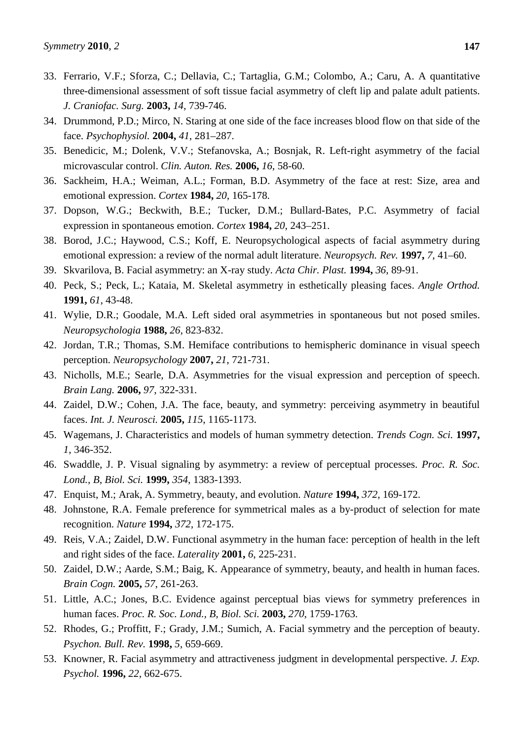- 33. Ferrario, V.F.; Sforza, C.; Dellavia, C.; Tartaglia, G.M.; Colombo, A.; Caru, A. A quantitative three-dimensional assessment of soft tissue facial asymmetry of cleft lip and palate adult patients. *J. Craniofac. Surg.* **2003,** *14*, 739-746.
- 34. Drummond, P.D.; Mirco, N. Staring at one side of the face increases blood flow on that side of the face. *Psychophysiol.* **2004,** *41*, 281–287.
- 35. Benedicic, M.; Dolenk, V.V.; Stefanovska, A.; Bosnjak, R. Left-right asymmetry of the facial microvascular control. *Clin. Auton. Res.* **2006,** *16*, 58-60.
- 36. Sackheim, H.A.; Weiman, A.L.; Forman, B.D. Asymmetry of the face at rest: Size, area and emotional expression. *Cortex* **1984,** *20*, 165-178.
- 37. Dopson, W.G.; Beckwith, B.E.; Tucker, D.M.; Bullard-Bates, P.C. Asymmetry of facial expression in spontaneous emotion. *Cortex* **1984,** *20*, 243–251.
- 38. Borod, J.C.; Haywood, C.S.; Koff, E. Neuropsychological aspects of facial asymmetry during emotional expression: a review of the normal adult literature. *Neuropsych. Rev.* **1997,** *7*, 41–60.
- 39. Skvarilova, B. Facial asymmetry: an X-ray study. *Acta Chir. Plast.* **1994,** *36*, 89-91.
- 40. Peck, S.; Peck, L.; Kataia, M. Skeletal asymmetry in esthetically pleasing faces. *Angle Orthod.*  **1991,** *61*, 43-48.
- 41. Wylie, D.R.; Goodale, M.A. Left sided oral asymmetries in spontaneous but not posed smiles. *Neuropsychologia* **1988,** *26*, 823-832.
- 42. Jordan, T.R.; Thomas, S.M. Hemiface contributions to hemispheric dominance in visual speech perception. *Neuropsychology* **2007,** *21*, 721-731.
- 43. Nicholls, M.E.; Searle, D.A. Asymmetries for the visual expression and perception of speech. *Brain Lang.* **2006,** *97*, 322-331.
- 44. Zaidel, D.W.; Cohen, J.A. The face, beauty, and symmetry: perceiving asymmetry in beautiful faces. *Int. J. Neurosci.* **2005,** *115*, 1165-1173.
- 45. Wagemans, J. Characteristics and models of human symmetry detection. *Trends Cogn. Sci.* **1997,** *1*, 346-352.
- 46. Swaddle, J. P. Visual signaling by asymmetry: a review of perceptual processes. *Proc. R. Soc. Lond., B, Biol. Sci.* **1999,** *354*, 1383-1393.
- 47. Enquist, M.; Arak, A. Symmetry, beauty, and evolution. *Nature* **1994,** *372*, 169-172.
- 48. Johnstone, R.A. Female preference for symmetrical males as a by-product of selection for mate recognition. *Nature* **1994,** *372*, 172-175.
- 49. Reis, V.A.; Zaidel, D.W. Functional asymmetry in the human face: perception of health in the left and right sides of the face. *Laterality* **2001,** *6*, 225-231.
- 50. Zaidel, D.W.; Aarde, S.M.; Baig, K. Appearance of symmetry, beauty, and health in human faces. *Brain Cogn.* **2005,** *57*, 261-263.
- 51. Little, A.C.; Jones, B.C. Evidence against perceptual bias views for symmetry preferences in human faces. *Proc. R. Soc. Lond., B, Biol. Sci.* **2003,** *270*, 1759-1763.
- 52. Rhodes, G.; Proffitt, F.; Grady, J.M.; Sumich, A. Facial symmetry and the perception of beauty. *Psychon. Bull. Rev.* **1998,** *5*, 659-669.
- 53. Knowner, R. Facial asymmetry and attractiveness judgment in developmental perspective. *J. Exp. Psychol.* **1996,** *22*, 662-675.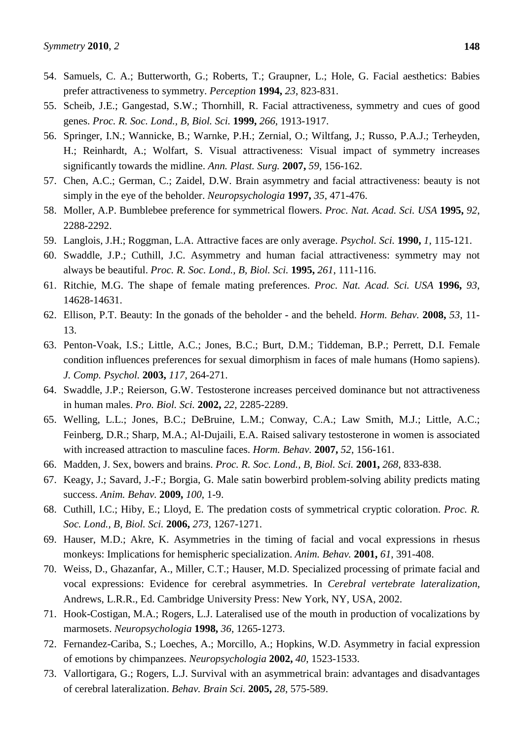- 54. Samuels, C. A.; Butterworth, G.; Roberts, T.; Graupner, L.; Hole, G. Facial aesthetics: Babies prefer attractiveness to symmetry. *Perception* **1994,** *23*, 823-831.
- 55. Scheib, J.E.; Gangestad, S.W.; Thornhill, R. Facial attractiveness, symmetry and cues of good genes. *Proc. R. Soc. Lond., B, Biol. Sci.* **1999,** *266*, 1913-1917.
- 56. Springer, I.N.; Wannicke, B.; Warnke, P.H.; Zernial, O.; Wiltfang, J.; Russo, P.A.J.; Terheyden, H.; Reinhardt, A.; Wolfart, S. Visual attractiveness: Visual impact of symmetry increases significantly towards the midline. *Ann. Plast. Surg.* **2007,** *59*, 156-162.
- 57. Chen, A.C.; German, C.; Zaidel, D.W. Brain asymmetry and facial attractiveness: beauty is not simply in the eye of the beholder. *Neuropsychologia* **1997,** *35*, 471-476.
- 58. Moller, A.P. Bumblebee preference for symmetrical flowers. *Proc. Nat. Acad. Sci. USA* **1995,** *92*, 2288-2292.
- 59. Langlois, J.H.; Roggman, L.A. Attractive faces are only average. *Psychol. Sci.* **1990,** *1*, 115-121.
- 60. Swaddle, J.P.; Cuthill, J.C. Asymmetry and human facial attractiveness: symmetry may not always be beautiful. *Proc. R. Soc. Lond., B, Biol. Sci.* **1995,** *261*, 111-116.
- 61. Ritchie, M.G. The shape of female mating preferences. *Proc. Nat. Acad. Sci. USA* **1996,** *93*, 14628-14631.
- 62. Ellison, P.T. Beauty: In the gonads of the beholder and the beheld. *Horm. Behav.* **2008,** *53*, 11- 13.
- 63. Penton-Voak, I.S.; Little, A.C.; Jones, B.C.; Burt, D.M.; Tiddeman, B.P.; Perrett, D.I. Female condition influences preferences for sexual dimorphism in faces of male humans (Homo sapiens). *J. Comp. Psychol.* **2003,** *117*, 264-271.
- 64. Swaddle, J.P.; Reierson, G.W. Testosterone increases perceived dominance but not attractiveness in human males. *Pro. Biol. Sci.* **2002,** *22*, 2285-2289.
- 65. Welling, L.L.; Jones, B.C.; DeBruine, L.M.; Conway, C.A.; Law Smith, M.J.; Little, A.C.; Feinberg, D.R.; Sharp, M.A.; Al-Dujaili, E.A. Raised salivary testosterone in women is associated with increased attraction to masculine faces. *Horm. Behav.* **2007,** *52*, 156-161.
- 66. Madden, J. Sex, bowers and brains. *Proc. R. Soc. Lond., B, Biol. Sci.* **2001,** *268*, 833-838.
- 67. Keagy, J.; Savard, J.-F.; Borgia, G. Male satin bowerbird problem-solving ability predicts mating success. *Anim. Behav.* **2009,** *100*, 1-9.
- 68. Cuthill, I.C.; Hiby, E.; Lloyd, E. The predation costs of symmetrical cryptic coloration. *Proc. R. Soc. Lond., B, Biol. Sci.* **2006,** *273*, 1267-1271.
- 69. Hauser, M.D.; Akre, K. Asymmetries in the timing of facial and vocal expressions in rhesus monkeys: Implications for hemispheric specialization. *Anim. Behav.* **2001,** *61*, 391-408.
- 70. Weiss, D., Ghazanfar, A., Miller, C.T.; Hauser, M.D. Specialized processing of primate facial and vocal expressions: Evidence for cerebral asymmetries. In *Cerebral vertebrate lateralization*, Andrews, L.R.R., Ed. Cambridge University Press: New York, NY, USA, 2002.
- 71. Hook-Costigan, M.A.; Rogers, L.J. Lateralised use of the mouth in production of vocalizations by marmosets. *Neuropsychologia* **1998,** *36*, 1265-1273.
- 72. Fernandez-Cariba, S.; Loeches, A.; Morcillo, A.; Hopkins, W.D. Asymmetry in facial expression of emotions by chimpanzees. *Neuropsychologia* **2002,** *40*, 1523-1533.
- 73. Vallortigara, G.; Rogers, L.J. Survival with an asymmetrical brain: advantages and disadvantages of cerebral lateralization. *Behav. Brain Sci.* **2005,** *28*, 575-589.